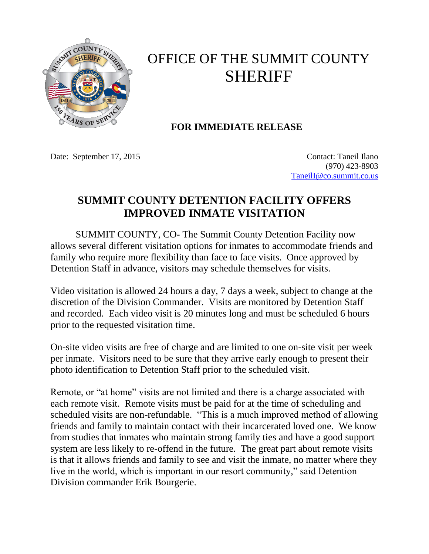

## OFFICE OF THE SUMMIT COUNTY SHERIFF

## **FOR IMMEDIATE RELEASE**

Date: September 17, 2015 Contact: Taneil Ilano

(970) 423-8903 [TaneilI@co.summit.co.us](mailto:TaneilI@co.summit.co.us)

## **SUMMIT COUNTY DETENTION FACILITY OFFERS IMPROVED INMATE VISITATION**

SUMMIT COUNTY, CO- The Summit County Detention Facility now allows several different visitation options for inmates to accommodate friends and family who require more flexibility than face to face visits. Once approved by Detention Staff in advance, visitors may schedule themselves for visits.

Video visitation is allowed 24 hours a day, 7 days a week, subject to change at the discretion of the Division Commander. Visits are monitored by Detention Staff and recorded. Each video visit is 20 minutes long and must be scheduled 6 hours prior to the requested visitation time.

On-site video visits are free of charge and are limited to one on-site visit per week per inmate. Visitors need to be sure that they arrive early enough to present their photo identification to Detention Staff prior to the scheduled visit.

Remote, or "at home" visits are not limited and there is a charge associated with each remote visit. Remote visits must be paid for at the time of scheduling and scheduled visits are non-refundable. "This is a much improved method of allowing friends and family to maintain contact with their incarcerated loved one. We know from studies that inmates who maintain strong family ties and have a good support system are less likely to re-offend in the future. The great part about remote visits is that it allows friends and family to see and visit the inmate, no matter where they live in the world, which is important in our resort community," said Detention Division commander Erik Bourgerie.